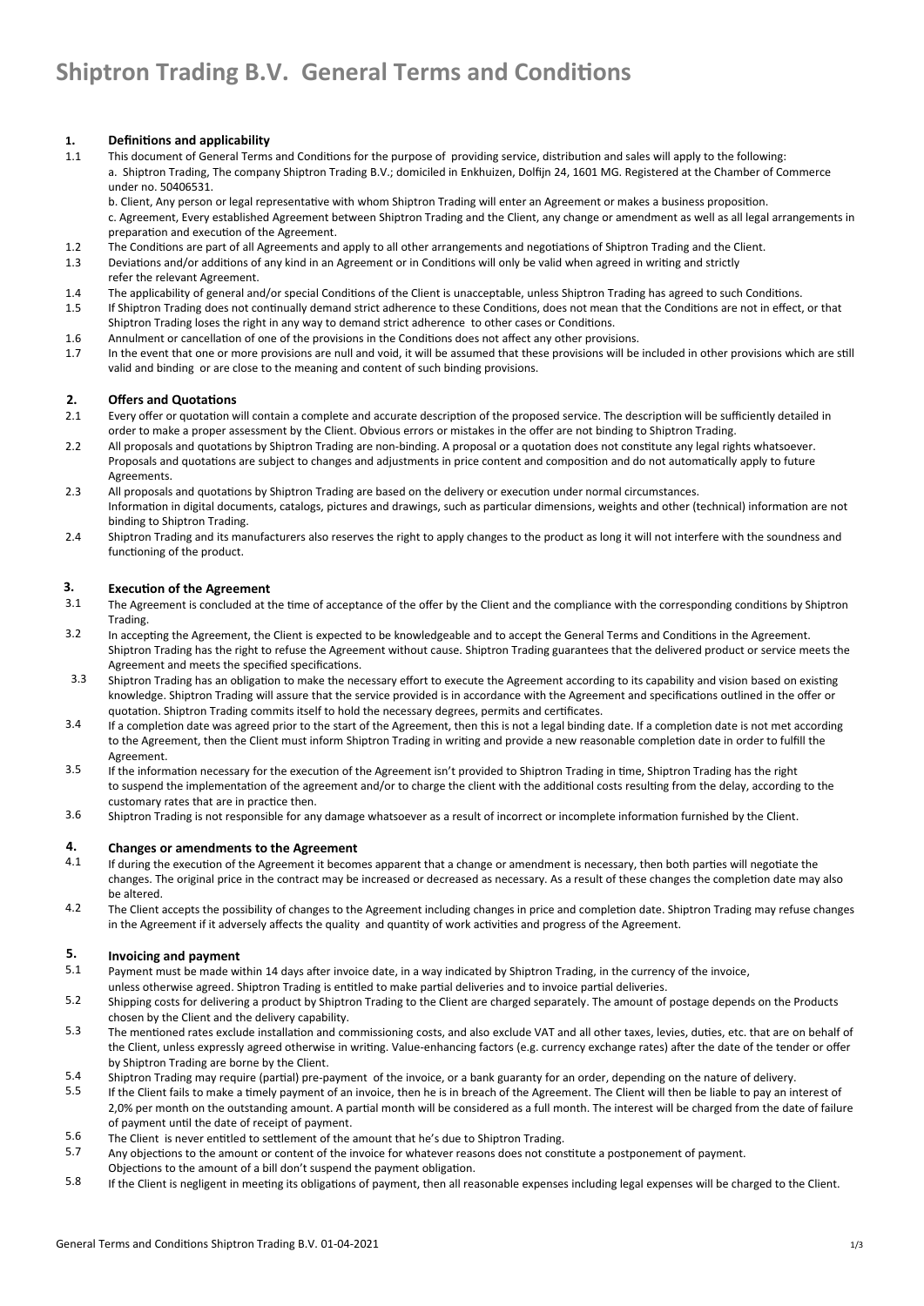## **1. Definitions and applicability**

 1.1 This document of General Terms and Conditions for the purpose of providing service, distribution and sales will apply to the following: a. Shiptron Trading, The company Shiptron Trading B.V.; domiciled in Enkhuizen, Dolfijn 24, 1601 MG. Registered at the Chamber of Commerce under no. 50406531.

b. Client, Any person or legal representative with whom Shiptron Trading will enter an Agreement or makes a business proposition. c. Agreement, Every established Agreement between Shiptron Trading and the Client, any change or amendment as well as all legal arrangements in preparation and execution of the Agreement.

- 1.2 The Conditions are part of all Agreements and apply to all other arrangements and negotiations of Shiptron Trading and the Client.
- 1.3 Deviations and/or additions of any kind in an Agreement or in Conditions will only be valid when agreed in writing and strictly refer the relevant Agreement.
- 1.4 The applicability of general and/or special Conditions of the Client is unacceptable, unless Shiptron Trading has agreed to such Conditions.
- 1.5 If Shiptron Trading does not continually demand strict adherence to these Conditions, does not mean that the Conditions are not in effect, or that Shiptron Trading loses the right in any way to demand strict adherence to other cases or Conditions.
- 1.6 Annulment or cancellation of one of the provisions in the Conditions does not affect any other provisions.
- 1.7 In the event that one or more provisions are null and void, it will be assumed that these provisions will be included in other provisions which are still valid and binding or are close to the meaning and content of such binding provisions.

## **2. Offers and Quotations**

- 2.1 Every offer or quotation will contain a complete and accurate description of the proposed service. The description will be sufficiently detailed in order to make a proper assessment by the Client. Obvious errors or mistakes in the offer are not binding to Shiptron Trading.
- 2.2 All proposals and quotations by Shiptron Trading are non-binding. A proposal or a quotation does not constitute any legal rights whatsoever. Proposals and quotations are subject to changes and adjustments in price content and composition and do not automatically apply to future Agreements.
- 2.3 All proposals and quotations by Shiptron Trading are based on the delivery or execution under normal circumstances. Information in digital documents, catalogs, pictures and drawings, such as particular dimensions, weights and other (technical) information are not binding to Shiptron Trading.
- 2.4 Shiptron Trading and its manufacturers also reserves the right to apply changes to the product as long it will not interfere with the soundness and functioning of the product.

## **3. Execution of the Agreement**

- 3.1 The Agreement is concluded at the time of acceptance of the offer by the Client and the compliance with the corresponding conditions by Shiptron Trading.
- 3.2 In accepting the Agreement, the Client is expected to be knowledgeable and to accept the General Terms and Conditions in the Agreement. Shiptron Trading has the right to refuse the Agreement without cause. Shiptron Trading guarantees that the delivered product or service meets the Agreement and meets the specified specifications.
- 3.3 Shiptron Trading has an obligation to make the necessary effort to execute the Agreement according to its capability and vision based on existing knowledge. Shiptron Trading will assure that the service provided is in accordance with the Agreement and specifications outlined in the offer or quotation. Shiptron Trading commits itself to hold the necessary degrees, permits and certificates.
- 3.4 If a completion date was agreed prior to the start of the Agreement, then this is not a legal binding date. If a completion date is not met according to the Agreement, then the Client must inform Shiptron Trading in writing and provide a new reasonable completion date in order to fulfill the Agreement.
- 3.5 If the information necessary for the execution of the Agreement isn't provided to Shiptron Trading in time, Shiptron Trading has the right to suspend the implementation of the agreement and/or to charge the client with the additional costs resulting from the delay, according to the customary rates that are in practice then.
- 3.6 Shiptron Trading is not responsible for any damage whatsoever as a result of incorrect or incomplete information furnished by the Client.

## **4. Changes or amendments to the Agreement**

- 4.1 If during the execution of the Agreement it becomes apparent that a change or amendment is necessary, then both parties will negotiate the changes. The original price in the contract may be increased or decreased as necessary. As a result of these changes the completion date may also be altered.
- 4.2 The Client accepts the possibility of changes to the Agreement including changes in price and completion date. Shiptron Trading may refuse changes in the Agreement if it adversely affects the quality and quantity of work activities and progress of the Agreement.

## **5. Invoicing and payment**

- 5.1 Payment must be made within 14 days after invoice date, in a way indicated by Shiptron Trading, in the currency of the invoice, unless otherwise agreed. Shiptron Trading is entitled to make partial deliveries and to invoice partial deliveries.
- 5.2 Shipping costs for delivering a product by Shiptron Trading to the Client are charged separately. The amount of postage depends on the Products chosen by the Client and the delivery capability.
- 5.3 The mentioned rates exclude installation and commissioning costs, and also exclude VAT and all other taxes, levies, duties, etc. that are on behalf of the Client, unless expressly agreed otherwise in writing. Value-enhancing factors (e.g. currency exchange rates) after the date of the tender or offer by Shiptron Trading are borne by the Client.
- 5.4 Shiptron Trading may require (partial) pre-payment of the invoice, or a bank guaranty for an order, depending on the nature of delivery.
- 5.5 If the Client fails to make a timely payment of an invoice, then he is in breach of the Agreement. The Client will then be liable to pay an interest of 2,0% per month on the outstanding amount. A partial month will be considered as a full month. The interest will be charged from the date of failure of payment until the date of receipt of payment.
- 5.6 The Client is never entitled to settlement of the amount that he's due to Shiptron Trading.
- 5.7 Any objections to the amount or content of the invoice for whatever reasons does not constitute a postponement of payment.
- Objections to the amount of a bill don't suspend the payment obligation.
- 5.8 If the Client is negligent in meeting its obligations of payment, then all reasonable expenses including legal expenses will be charged to the Client.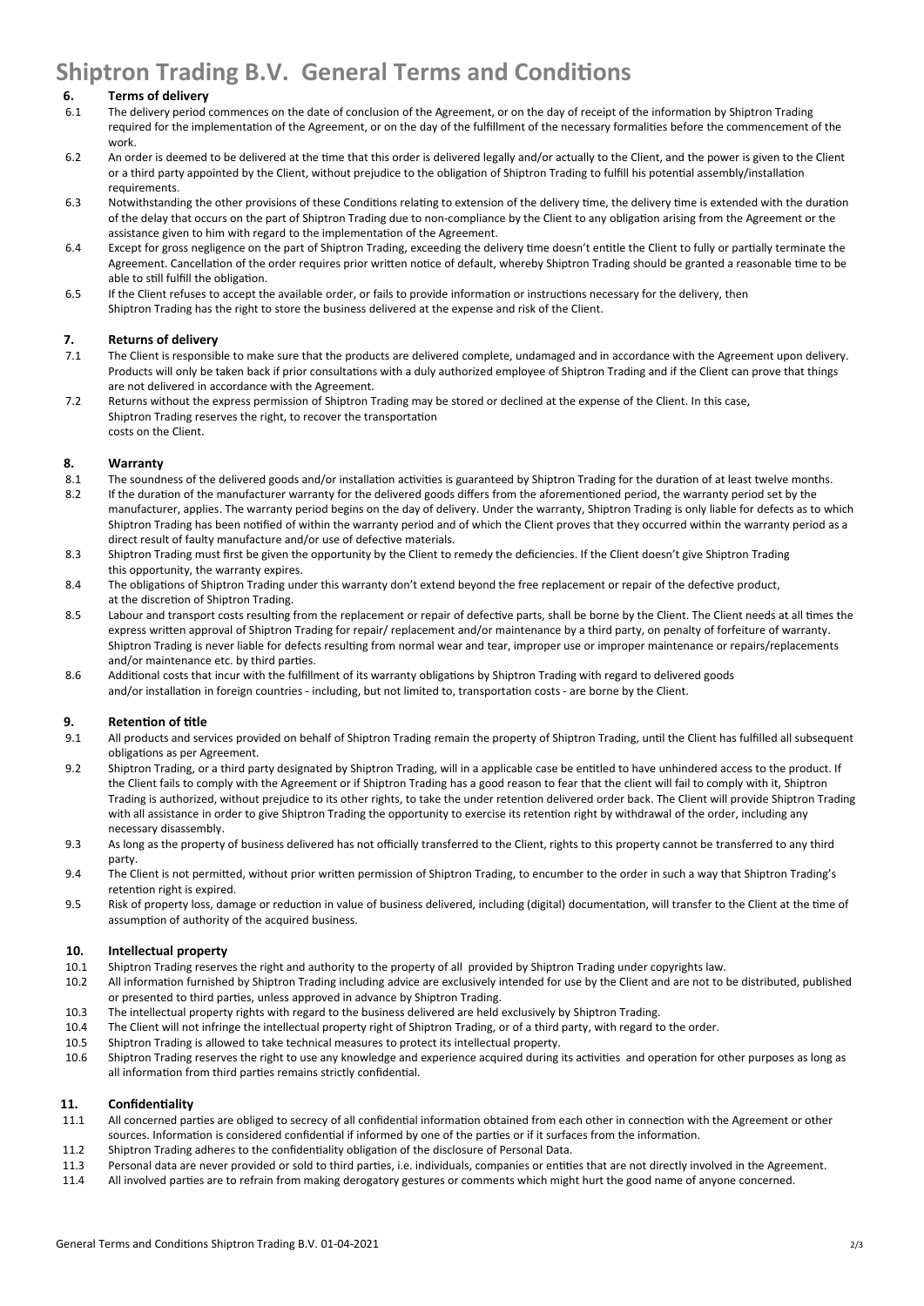# **Shiptron Trading B.V. General Terms and Conditions**

## **6. Terms of delivery**

- 6.1 The delivery period commences on the date of conclusion of the Agreement, or on the day of receipt of the information by Shiptron Trading required for the implementation of the Agreement, or on the day of the fulfillment of the necessary formalities before the commencement of the work.
- 6.2 An order is deemed to be delivered at the time that this order is delivered legally and/or actually to the Client, and the power is given to the Client or a third party appointed by the Client, without prejudice to the obligation of Shiptron Trading to fulfill his potential assembly/installation requirements.
- 6.3 Notwithstanding the other provisions of these Conditions relating to extension of the delivery time, the delivery time is extended with the duration of the delay that occurs on the part of Shiptron Trading due to non-compliance by the Client to any obligation arising from the Agreement or the assistance given to him with regard to the implementation of the Agreement.
- 6.4 Except for gross negligence on the part of Shiptron Trading, exceeding the delivery time doesn't entitle the Client to fully or partially terminate the Agreement. Cancellation of the order requires prior written notice of default, whereby Shiptron Trading should be granted a reasonable time to be able to still fulfill the obligation.
- 6.5 If the Client refuses to accept the available order, or fails to provide information or instructions necessary for the delivery, then Shiptron Trading has the right to store the business delivered at the expense and risk of the Client.

## **7. Returns of delivery**

- 7.1 The Client is responsible to make sure that the products are delivered complete, undamaged and in accordance with the Agreement upon delivery. Products will only be taken back if prior consultations with a duly authorized employee of Shiptron Trading and if the Client can prove that things are not delivered in accordance with the Agreement.
- 7.2 Returns without the express permission of Shiptron Trading may be stored or declined at the expense of the Client. In this case, Shiptron Trading reserves the right, to recover the transportation costs on the Client.

## **8. Warranty**

- 8.1 8.2 The soundness of the delivered goods and/or installation activities is guaranteed by Shiptron Trading for the duration of at least twelve months. If the duration of the manufacturer warranty for the delivered goods differs from the aforementioned period, the warranty period set by the
- manufacturer, applies. The warranty period begins on the day of delivery. Under the warranty, Shiptron Trading is only liable for defects as to which Shiptron Trading has been notified of within the warranty period and of which the Client proves that they occurred within the warranty period as a direct result of faulty manufacture and/or use of defective materials.
- 8.3 Shiptron Trading must first be given the opportunity by the Client to remedy the deficiencies. If the Client doesn't give Shiptron Trading this opportunity, the warranty expires.
- 8.4 The obligations of Shiptron Trading under this warranty don't extend beyond the free replacement or repair of the defective product, at the discretion of Shiptron Trading.
- 8.5 Labour and transport costs resulting from the replacement or repair of defective parts, shall be borne by the Client. The Client needs at all times the express written approval of Shiptron Trading for repair/ replacement and/or maintenance by a third party, on penalty of forfeiture of warranty. Shiptron Trading is never liable for defects resulting from normal wear and tear, improper use or improper maintenance or repairs/replacements and/or maintenance etc. by third parties.
- 8.6 Additional costs that incur with the fulfillment of its warranty obligations by Shiptron Trading with regard to delivered goods and/or installation in foreign countries - including, but not limited to, transportation costs - are borne by the Client.

## **9. Retention of title**

- 9.1 All products and services provided on behalf of Shiptron Trading remain the property of Shiptron Trading, until the Client has fulfilled all subsequent obligations as per Agreement.
- 9.2 Shiptron Trading, or a third party designated by Shiptron Trading, will in a applicable case be entitled to have unhindered access to the product. If the Client fails to comply with the Agreement or if Shiptron Trading has a good reason to fear that the client will fail to comply with it, Shiptron Trading is authorized, without prejudice to its other rights, to take the under retention delivered order back. The Client will provide Shiptron Trading with all assistance in order to give Shiptron Trading the opportunity to exercise its retention right by withdrawal of the order, including any necessary disassembly.
- 9.3 As long as the property of business delivered has not officially transferred to the Client, rights to this property cannot be transferred to any third party.
- 9.4 The Client is not permitted, without prior written permission of Shiptron Trading, to encumber to the order in such a way that Shiptron Trading's retention right is expired.
- 9.5 Risk of property loss, damage or reduction in value of business delivered, including (digital) documentation, will transfer to the Client at the time of assumption of authority of the acquired business.

#### **10. Intellectual property**

- 10.1 Shiptron Trading reserves the right and authority to the property of all provided by Shiptron Trading under copyrights law.
- 10.2 All information furnished by Shiptron Trading including advice are exclusively intended for use by the Client and are not to be distributed, published or presented to third parties, unless approved in advance by Shiptron Trading.
- 10.3 The intellectual property rights with regard to the business delivered are held exclusively by Shiptron Trading.
- 10.4 The Client will not infringe the intellectual property right of Shiptron Trading, or of a third party, with regard to the order.
- 10.5 Shiptron Trading is allowed to take technical measures to protect its intellectual property.
- 10.6 Shiptron Trading reserves the right to use any knowledge and experience acquired during its activities and operation for other purposes as long as all information from third parties remains strictly confidential.

## **11. Confidentiality**

- 11.1 All concerned parties are obliged to secrecy of all confidential information obtained from each other in connection with the Agreement or other sources. Information is considered confidential if informed by one of the parties or if it surfaces from the information.
- 11.2 Shiptron Trading adheres to the confidentiality obligation of the disclosure of Personal Data.
- 11.3 Personal data are never provided or sold to third parties, i.e. individuals, companies or entities that are not directly involved in the Agreement.
- 11.4 All involved parties are to refrain from making derogatory gestures or comments which might hurt the good name of anyone concerned.